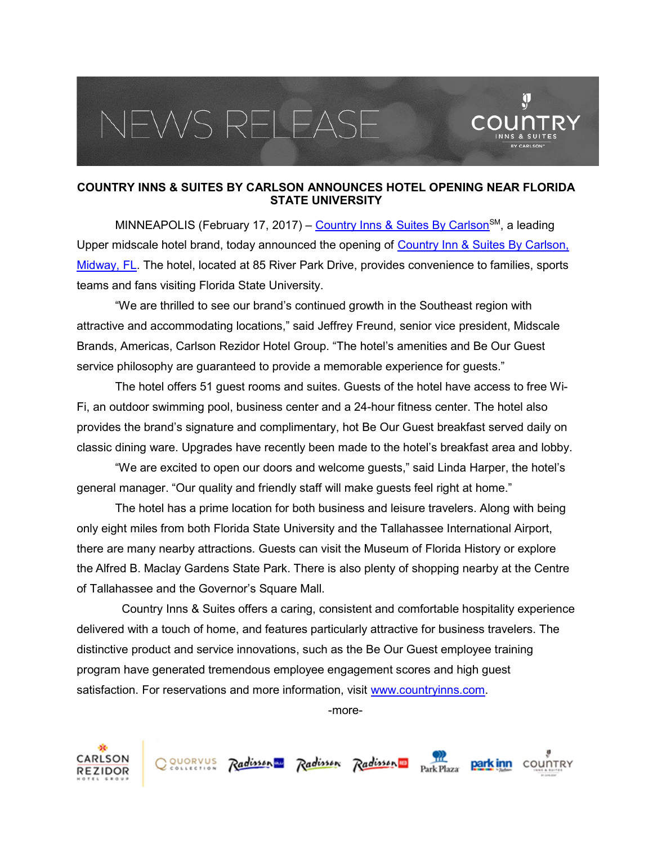## EWS RELEAS



## COUNTRY INNS & SUITES BY CARLSON ANNOUNCES HOTEL OPENING NEAR FLORIDA STATE UNIVERSITY

MINNEAPOLIS (February 17, 2017) – Country Inns & Suites By Carlson<sup>sM</sup>, a leading Upper midscale hotel brand, today announced the opening of Country Inn & Suites By Carlson, Midway, FL. The hotel, located at 85 River Park Drive, provides convenience to families, sports teams and fans visiting Florida State University.

"We are thrilled to see our brand's continued growth in the Southeast region with attractive and accommodating locations," said Jeffrey Freund, senior vice president, Midscale Brands, Americas, Carlson Rezidor Hotel Group. "The hotel's amenities and Be Our Guest service philosophy are guaranteed to provide a memorable experience for guests."

The hotel offers 51 guest rooms and suites. Guests of the hotel have access to free Wi-Fi, an outdoor swimming pool, business center and a 24-hour fitness center. The hotel also provides the brand's signature and complimentary, hot Be Our Guest breakfast served daily on classic dining ware. Upgrades have recently been made to the hotel's breakfast area and lobby.

"We are excited to open our doors and welcome guests," said Linda Harper, the hotel's general manager. "Our quality and friendly staff will make guests feel right at home."

The hotel has a prime location for both business and leisure travelers. Along with being only eight miles from both Florida State University and the Tallahassee International Airport, there are many nearby attractions. Guests can visit the Museum of Florida History or explore the Alfred B. Maclay Gardens State Park. There is also plenty of shopping nearby at the Centre of Tallahassee and the Governor's Square Mall.

 Country Inns & Suites offers a caring, consistent and comfortable hospitality experience delivered with a touch of home, and features particularly attractive for business travelers. The distinctive product and service innovations, such as the Be Our Guest employee training program have generated tremendous employee engagement scores and high guest satisfaction. For reservations and more information, visit www.countryinns.com.

-more-